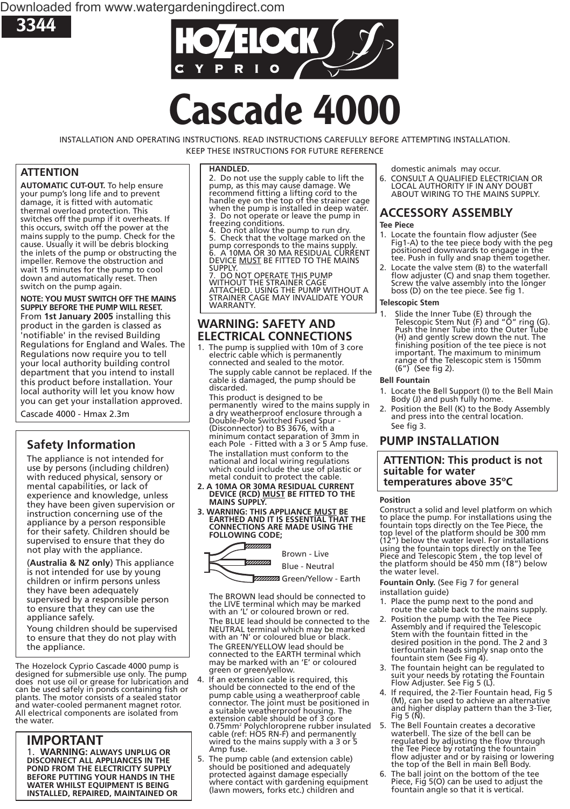



# **Cascade 4000**

INSTALLATION AND OPERATING INSTRUCTIONS. READ INSTRUCTIONS CAREFULLY BEFORE ATTEMPTING INSTALLATION. KEEP THESE INSTRUCTIONS FOR FUTURE REFERENCE

#### **ATTENTION**

**AUTOMATIC CUT-OUT.** To help ensure your pump's long life and to prevent damage, it is fitted with automatic thermal overload protection. This switches off the pump if it overheats. If this occurs, switch off the power at the mains supply to the pump. Check for the cause. Usually it will be debris blocking the inlets of the pump or obstructing the impeller. Remove the obstruction and wait 15 minutes for the pump to cool down and automatically reset. Then switch on the pump again.

**NOTE: YOU MUST SWITCH OFF THE MAINS SUPPLY BEFORE THE PUMP WILL RESET.** From **1st January 2005** installing this product in the garden is classed as 'notifiable' in the revised Building Regulations for England and Wales. The Regulations now require you to tell your local authority building control department that you intend to install this product before installation. Your local authority will let you know how you can get your installation approved.

Cascade 4000 - Hmax 2.3m

#### **Safety Information**

The appliance is not intended for use by persons (including children) with reduced physical, sensory or mental capabilities, or lack of experience and knowledge, unless they have been given supervision or instruction concerning use of the appliance by a person responsible for their safety. Children should be supervised to ensure that they do not play with the appliance.

(**Australia & NZ only**) This appliance is not intended for use by young children or infirm persons unless they have been adequately supervised by a responsible person to ensure that they can use the appliance safely.

Young children should be supervised to ensure that they do not play with the appliance.

The Hozelock Cyprio Cascade 4000 pump is designed for submersible use only. The pump does not use oil or grease for lubrication and can be used safely in ponds containing fish or plants. The motor consists of a sealed stator and water-cooled permanent magnet rotor. All electrical components are isolated from the water.

#### **IMPORTANT**

1. **WARNING: ALWAYS UNPLUG OR DISCONNECT ALL APPLIANCES IN THE POND FROM THE ELECTRICITY SUPPLY BEFORE PUTTING YOUR HANDS IN THE WATER WHILST EQUIPMENT IS BEING INSTALLED, REPAIRED, MAINTAINED OR**

#### **HANDLED.**

2. Do not use the supply cable to lift the pump, as this may cause damage. We recommend fitting a lifting cord to the handle eye on the top of the strainer cage when the pump is installed in deep water. 3. Do not operate or leave the pump in freezing conditions.<br>4. Do not allow the<br>5. Check that the vo

Do not allow the pump to run dry.<br>Check that the voltage marked on the 5. Check that the voltage marked on the pump corresponds to the mains supply. 6. A 10MA OR 30 MA RESIDUAL CURRENT DEVICE MUST BE FITTED TO THE MAINS SUPPLY.

7. DO NOT OPERATE THIS PUMP WITHOUT THE STRAINER CAGE ATTACHED. USING THE PUMP WITHOUT A STRAINER CAGE MAY INVALIDATE YOUR WARRANTY

#### **WARNING: SAFETY AND ELECTRICAL CONNECTIONS**

1. The pump is supplied with 10m of 3 core electric cable which is permanently connected and sealed to the motor. The supply cable cannot be replaced. If the cable is damaged, the pump should be discarded.

This product is designed to be permanently wired to the mains supply in a dry weatherproof enclosure through a Double-Pole Switched Fused Spur - (Disconnector) to BS 3676, with a minimum contact separation of 3mm in each Pole - Fitted with a 3 or 5 Amp fuse. The installation must conform to the national and local wiring regulations which could include the use of plastic or

- metal conduit to protect the cable.<br>2. A 10MA OR 30MA RESIDUAL CURRENT **2. A 10MA OR 30MA RESIDUAL CURRENT DEVICE (RCD) MUST BE FITTED TO THE** MAINS SUPPLY.<br>3. WARNING: THIS APPLIANCE <u>MUST</u> BE
- **3. WARNING: THIS APPLIANCE MUST BE EARTHED AND IT IS ESSENTIAL THAT THE CONNECTIONS ARE MADE USING THE FOLLOWING CODE;**



Blue - Neutral

ZZZZZZZZZZZZZ Green/Yellow - Earth

The BROWN lead should be connected to the LIVE terminal which may be marked with an 'L' or coloured brown or red. The BLUE lead should be connected to the NEUTRAL terminal which may be marked with an 'N' or coloured blue or black. The GREEN/YELLOW lead should be connected to the EARTH terminal which may be marked with an 'E' or coloured green or green/yellow.

- If an extension cable is required, this should be connected to the end of the pump cable using a weatherproof cable connector. The joint must be positioned in a suitable weatherproof housing. The extension cable should be of 3 core 0.75mm² Polychloroprene rubber insulated<br>cable (ref: HO5 RN-F) and permanently<br>wired to the mains supply with a 3 or 5 Amp fuse.
- 5. The pump cable (and extension cable) should be positioned and adequately protected against damage especially where contact with gardening equipment (lawn mowers, forks etc.) children and

domestic animals may occur.<br>6. CONSULT A QUALIFIED ELECTRICIAN OR 6. CONSULT A QUALIFIED ELECTRICIAN OR LOCAL AUTHORITY IF IN ANY DOUBT ABOUT WIRING TO THE MAINS SUPPLY.

### **ACCESSORY ASSEMBLY**

- **Tee Piece**<br>1. Locate the fountain flow adiuster (See Fig1-A) to the tee piece body with the peg positioned downwards to engage in the tee. Push in fully and snap them together.
- 2. Locate the valve stem (B) to the waterfall flow adjuster (C) and snap them together. Screw the valve assembly into the longer boss (D) on the tee piece. See fig 1.

#### **Telescopic Stem**

1. Slide the Inner Tube (E) through the Telescopic Stem Nut (F) and "O" ring (G). Push the Inner Tube into the Outer Tube (H) and gently screw down the nut. The finishing position of the tee piece is not important. The maximum to minimum range of the Telescopic stem is 150mm (6") (See fig 2).

#### **Bell Fountain**

- 1. Locate the Bell Support (I) to the Bell Main Body (J) and push fully home.
- 2. Position the Bell (K) to the Body Assembly and press into the central location. See fig 3.

#### **PUMP INSTALLATION**

**ATTENTION: This product is not suitable for water temperatures above 35ºC**

#### **Position**

Construct a solid and level platform on which to place the pump. For installations using the fountain tops directly on the Tee Piece, the top level of the platform should be 300 mm<br>(12") below the water level 5 and 000 mm (12") below the water level. For installations using the fountain tops directly on the Tee Piece and Telescopic Stem , the top level of the platform should be 450 mm (18") below the water level.

**Fountain Only.** (See Fig 7 for general

- installation guide)<br>1. Place the pump next to the pond and 1. Place the cable back to the mains supply.<br>
2. Position the pump with the Tee Piece
- Assembly and if required the Telescopic Stem with the fountain fitted in the desired position in the pond. The 2 and 3 tierfountain heads simply snap onto the fountain stem (See Fig 4).
- 3. The fountain height can be regulated to suit your needs by rotating the Fountain Flow Adjuster. See Fig 5 (L).
- 4. If required, the 2-Tier Fountain head, Fig 5 (M), can be used to achieve an alternative and higher display pattern than the 3-Tier, Fig 5 (N).
- 5. The Bell Fountain creates a decorative waterbell. The size of the bell can be regulated by adjusting the flow through the Tee Piece by rotating the fountain flow adjuster and or by raising or lowering the top of the Bell in main Bell Body.
- 6. The ball joint on the bottom of the tee Piece, Fig 5(O) can be used to adjust the fountain angle so that it is vertical.